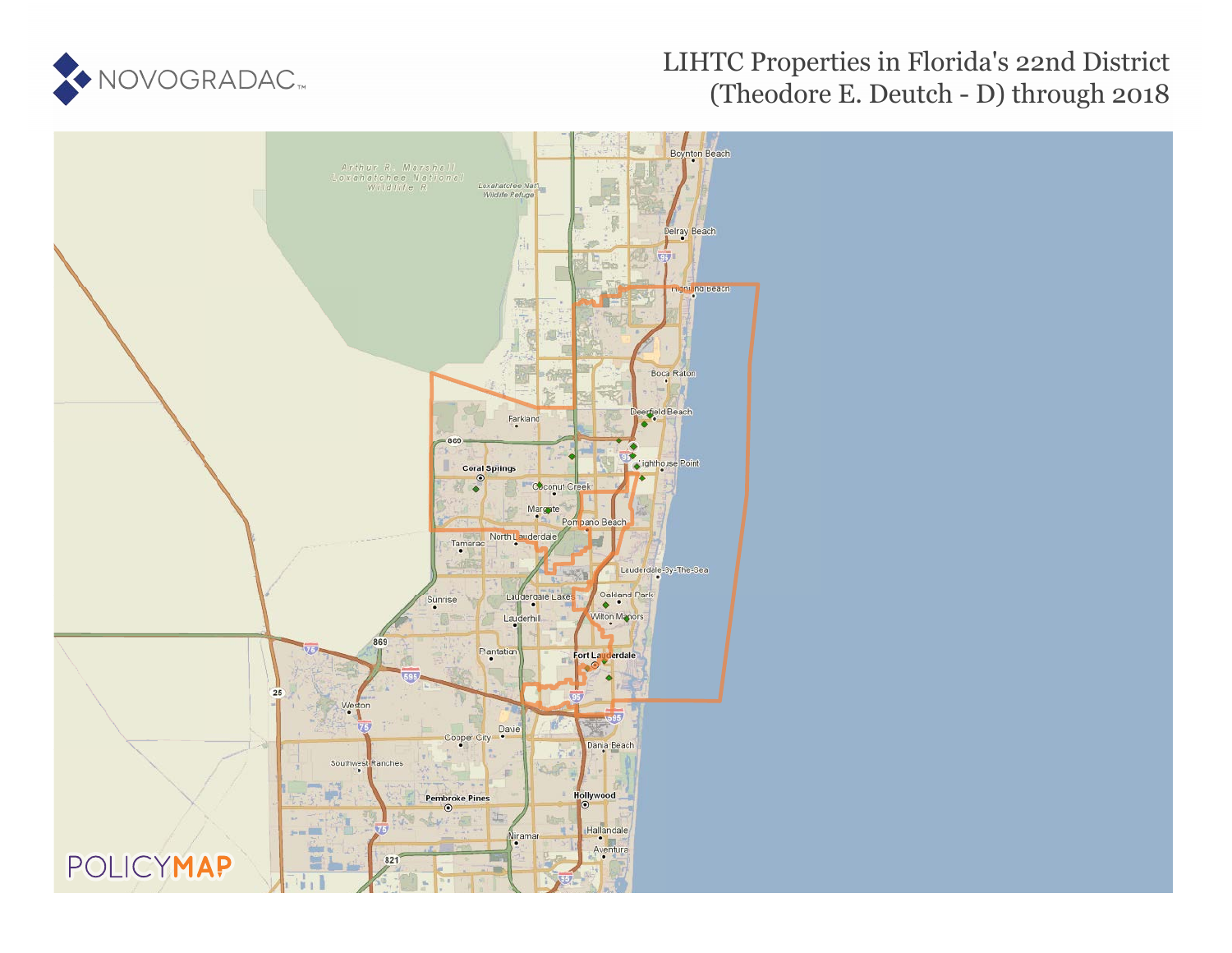

## LIHTC Properties in Florida's 22nd District (Theodore E. Deutch - D) through 2018

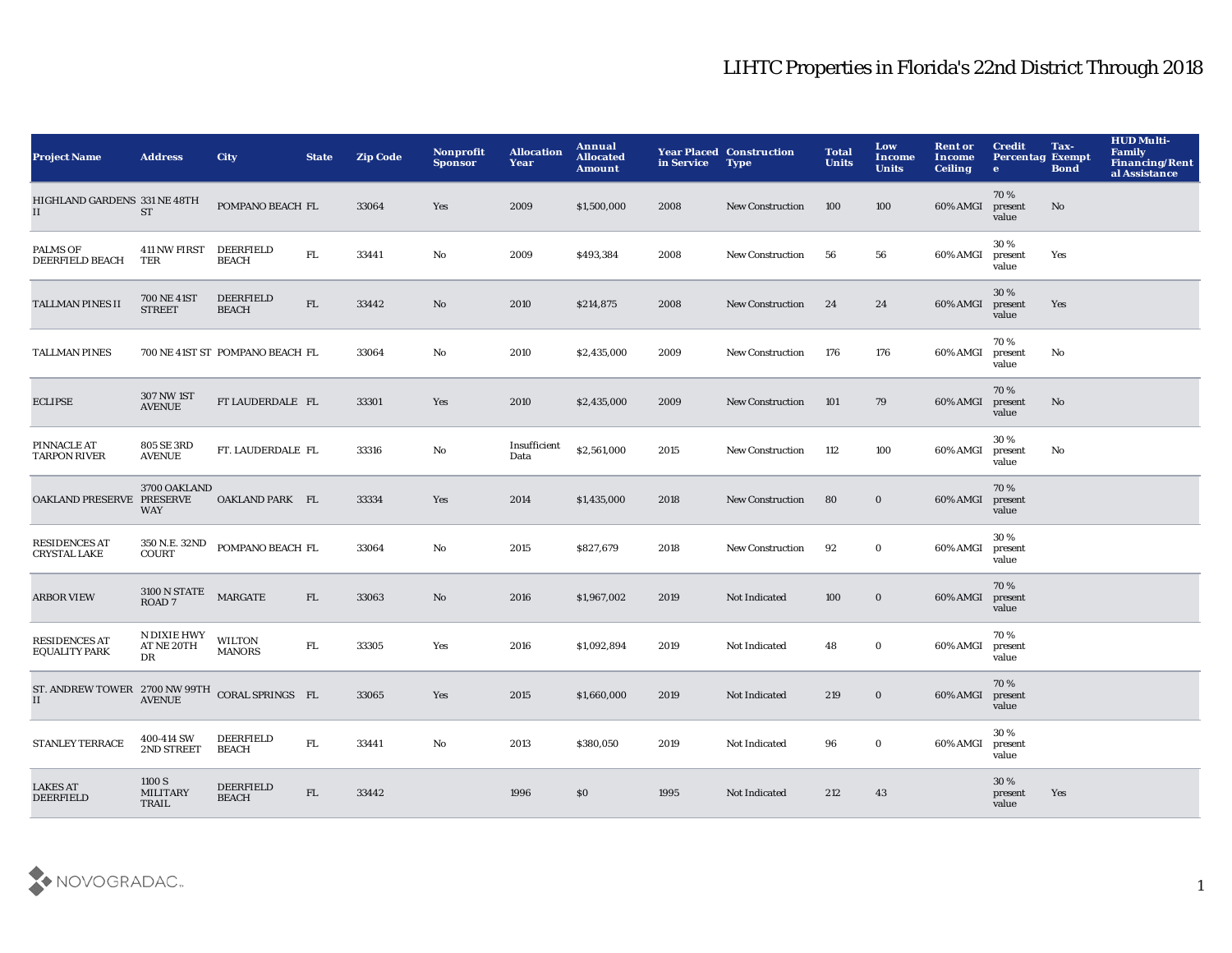## LIHTC Properties in Florida's 22nd District Through 2018

| <b>Project Name</b>                                  | <b>Address</b>                           | City                             | <b>State</b> | <b>Zip Code</b> | <b>Nonprofit</b><br><b>Sponsor</b> | <b>Allocation</b><br>Year | Annual<br><b>Allocated</b><br>Amount | in Service | <b>Year Placed Construction</b><br><b>Type</b> | <b>Total</b><br><b>Units</b> | Low<br><b>Income</b><br><b>Units</b> | <b>Rent or</b><br><b>Income</b><br><b>Ceiling</b> | <b>Credit</b><br><b>Percentag Exempt</b><br>$\bullet$ | Tax-<br><b>Bond</b> | <b>HUD Multi-</b><br>Family<br><b>Financing/Rent</b><br>al Assistance |
|------------------------------------------------------|------------------------------------------|----------------------------------|--------------|-----------------|------------------------------------|---------------------------|--------------------------------------|------------|------------------------------------------------|------------------------------|--------------------------------------|---------------------------------------------------|-------------------------------------------------------|---------------------|-----------------------------------------------------------------------|
| HIGHLAND GARDENS 331 NE 48TH<br>II                   | <b>ST</b>                                | POMPANO BEACH FL                 |              | 33064           | Yes                                | 2009                      | \$1,500,000                          | 2008       | <b>New Construction</b>                        | 100                          | 100                                  | 60% AMGI                                          | 70%<br>present<br>value                               | No                  |                                                                       |
| <b>PALMS OF</b><br><b>DEERFIELD BEACH</b>            | 411 NW FIRST<br>TER                      | DEERFIELD<br><b>BEACH</b>        | ${\rm FL}$   | 33441           | No                                 | 2009                      | \$493,384                            | 2008       | New Construction                               | 56                           | 56                                   | 60% AMGI                                          | 30%<br>present<br>value                               | Yes                 |                                                                       |
| <b>TALLMAN PINES II</b>                              | 700 NE 41ST<br><b>STREET</b>             | <b>DEERFIELD</b><br><b>BEACH</b> | ${\rm FL}$   | 33442           | No                                 | 2010                      | \$214,875                            | 2008       | <b>New Construction</b>                        | 24                           | 24                                   | 60% AMGI                                          | 30%<br>present<br>value                               | Yes                 |                                                                       |
| <b>TALLMAN PINES</b>                                 |                                          | 700 NE 41ST ST POMPANO BEACH FL  |              | 33064           | No                                 | 2010                      | \$2,435,000                          | 2009       | New Construction                               | 176                          | 176                                  | 60% AMGI                                          | 70%<br>present<br>value                               | No                  |                                                                       |
| <b>ECLIPSE</b>                                       | <b>307 NW 1ST</b><br><b>AVENUE</b>       | FT LAUDERDALE FL                 |              | 33301           | Yes                                | 2010                      | \$2,435,000                          | 2009       | <b>New Construction</b>                        | 101                          | 79                                   | 60% AMGI                                          | 70%<br>present<br>value                               | No                  |                                                                       |
| PINNACLE AT<br><b>TARPON RIVER</b>                   | 805 SE 3RD<br><b>AVENUE</b>              | FT. LAUDERDALE FL                |              | 33316           | No                                 | Insufficient<br>Data      | \$2,561,000                          | 2015       | <b>New Construction</b>                        | 112                          | 100                                  | 60% AMGI                                          | 30%<br>present<br>value                               | No                  |                                                                       |
| OAKLAND PRESERVE PRESERVE                            | 3700 OAKLAND<br><b>WAY</b>               | OAKLAND PARK FL                  |              | 33334           | Yes                                | 2014                      | \$1,435,000                          | 2018       | <b>New Construction</b>                        | 80                           | $\bf{0}$                             | 60% AMGI                                          | 70%<br>present<br>value                               |                     |                                                                       |
| <b>RESIDENCES AT</b><br><b>CRYSTAL LAKE</b>          | 350 N.E. 32ND<br>COUNT                   | POMPANO BEACH FL                 |              | 33064           | No                                 | 2015                      | \$827,679                            | 2018       | <b>New Construction</b>                        | 92                           | $\bf{0}$                             | 60% AMGI                                          | 30%<br>present<br>value                               |                     |                                                                       |
| <b>ARBOR VIEW</b>                                    | <b>3100 N STATE</b><br>ROAD <sub>7</sub> | $\ensuremath{\mathsf{MARGATE}}$  | FL           | 33063           | No                                 | 2016                      | \$1,967,002                          | 2019       | Not Indicated                                  | 100                          | $\bf{0}$                             | 60% AMGI                                          | 70%<br>present<br>value                               |                     |                                                                       |
| <b>RESIDENCES AT</b><br><b>EQUALITY PARK</b>         | N DIXIE HWY<br>AT NE 20TH<br>DR          | <b>WILTON</b><br><b>MANORS</b>   | ${\rm FL}$   | 33305           | Yes                                | 2016                      | \$1,092,894                          | 2019       | Not Indicated                                  | 48                           | $\bf{0}$                             | 60% AMGI                                          | 70%<br>present<br>value                               |                     |                                                                       |
| ST. ANDREW TOWER 2700 NW 99TH CORAL SPRINGS FL<br>II | <b>AVENUE</b>                            |                                  |              | 33065           | Yes                                | 2015                      | \$1,660,000                          | 2019       | Not Indicated                                  | 219                          | $\bf{0}$                             | 60% AMGI                                          | 70%<br>present<br>value                               |                     |                                                                       |
| <b>STANLEY TERRACE</b>                               | 400-414 SW<br>2ND STREET                 | <b>DEERFIELD</b><br><b>BEACH</b> | ${\rm FL}$   | 33441           | No                                 | 2013                      | \$380,050                            | 2019       | Not Indicated                                  | 96                           | $\bf{0}$                             | 60% AMGI                                          | 30%<br>present<br>value                               |                     |                                                                       |
| <b>LAKES AT</b><br><b>DEERFIELD</b>                  | 1100 S<br><b>MILITARY</b><br>TRAIL       | <b>DEERFIELD</b><br><b>BEACH</b> | FL.          | 33442           |                                    | 1996                      | \$0                                  | 1995       | Not Indicated                                  | 212                          | 43                                   |                                                   | 30 %<br>present<br>value                              | Yes                 |                                                                       |